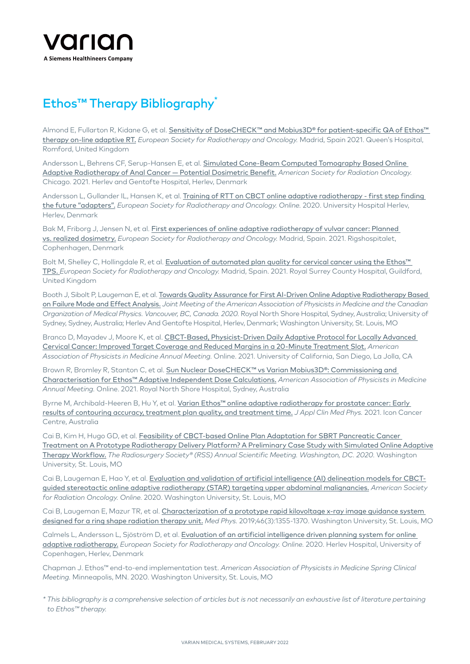

## Ethos™ Therapy Bibliography\*

Almond E, Fullarton R, Kidane G, et al. [Sensitivity of DoseCHECK™ and Mobius3D® for patient-specific QA of Ethos™](https://www.estro.org/Congresses/ESTRO-2021/901/dosemeasurementanddosecalculation/4422/sensitivityofdosecheckandMobius3Dforpatient-specificqa)  [therapy on-line adaptive RT.](https://www.estro.org/Congresses/ESTRO-2021/901/dosemeasurementanddosecalculation/4422/sensitivityofdosecheckandMobius3Dforpatient-specificqa) *European Society for Radiotherapy and Oncology.* Madrid, Spain 2021. Queen's Hospital, Romford, United Kingdom

Andersson L, Behrens CF, Serup-Hansen E, et al. [Simulated Cone-Beam Computed Tomography Based Online](https://plan.core-apps.com/myastroapp2021/abstraCT/1a6262d9-9a0a-4353-9ef0-da4a8e4fab6f)  [Adaptive Radiotherapy of Anal Cancer — Potential Dosimetric Benefit.](https://plan.core-apps.com/myastroapp2021/abstraCT/1a6262d9-9a0a-4353-9ef0-da4a8e4fab6f) *American Society for Radiation Oncology.* Chicago. 2021. Herlev and Gentofte Hospital, Herlev, Denmark

Andersson L, Gullander IL, Hansen K, et al. Training of RTT on CBCT online adaptive radiotherapy - first step finding [the future "adapters".](https://estropreprod.smartmembership.net/Congresses/ESTRO-2020/322/rtttrack-educationandtraining-roledevelopment-/674/trainingofrttoncbctonlineadaptiveradiotherapy-firs) *European Society for Radiotherapy and Oncology. Online.* 2020. University Hospital Herlev, Herlev, Denmark

Bak M, Friborg J, Jensen N, et al. [First experiences of online adaptive radiotherapy of vulvar cancer: Planned](https://www.estro.org/Congresses/ESTRO-2021/899/adaptiveradiotherapyandinter-fraCTionmotionmanagem/4492/firstexperiencesofonlineadaptiveradiotherapyofvulv)  [vs. realized dosimetry.](https://www.estro.org/Congresses/ESTRO-2021/899/adaptiveradiotherapyandinter-fraCTionmotionmanagem/4492/firstexperiencesofonlineadaptiveradiotherapyofvulv) *European Society for Radiotherapy and Oncology.* Madrid, Spain. 2021. Rigshospitalet, Cophenhagen, Denmark

Bolt M, Shelley C, Hollingdale R, et al. Evaluation of automated plan quality for cervical cancer using the Ethos™ TPS. *[European Society for Radiotherapy and Oncology.](https://www.estro.org/Congresses/ESTRO-2021/899/adaptiveradiotherapyandinter-fraCTionmotionmanagem/4521/evaluationofautomatedplanqualityforcervicalcanceru)* Madrid, Spain. 2021. Royal Surrey County Hospital, Guildford, United Kingdom

Booth J, Sibolt P, Laugeman E, et al. [Towards Quality Assurance for First AI-Driven Online Adaptive Radiotherapy Based](https://w3.aapm.org/meetings/2020AM/programInfo/programAbs.php?sid=8491&aid=52294)  [on Failure Mode and Effect Analysis.](https://w3.aapm.org/meetings/2020AM/programInfo/programAbs.php?sid=8491&aid=52294) *Joint Meeting of the American Association of Physicists in Medicine and the Canadian Organization of Medical Physics. Vancouver, BC, Canada. 2020.* Royal North Shore Hospital, Sydney, Australia; University of Sydney, Sydney, Australia; Herlev And Gentofte Hospital, Herlev, Denmark; Washington University, St. Louis, MO

Branco D, Mayadev J, Moore K, et al. [CBCT-Based, Physicist-Driven Daily Adaptive Protocol for Locally Advanced](https://w4.aapm.org/meetings/2021AM/programInfo/programAbs.php?sid=9297&aid=58789)  [Cervical Cancer: Improved Target Coverage and Reduced Margins in a 20-Minute Treatment Slot.](https://w4.aapm.org/meetings/2021AM/programInfo/programAbs.php?sid=9297&aid=58789) *American Association of Physicists in Medicine Annual Meeting.* Online. 2021. University of California, San Diego, La Jolla, CA

Brown R, Bromley R, Stanton C, et al. Sun Nuclear DoseCHECK™ vs Varian Mobius3D®: Commissioning and [Characterisation for Ethos™ Adaptive Independent Dose Calculations.](https://w4.aapm.org/meetings/2021AM/programInfo/programAbs.php?sid=9374&aid=58717) *American Association of Physicists in Medicine Annual Meeting.* Online. 2021. Royal North Shore Hospital, Sydney, Australia

Byrne M, Archibald-Heeren B, Hu Y, et al. Varian Ethos™ online adaptive radiotherapy for prostate cancer: Early [results of contouring accuracy, treatment plan quality, and treatment time.](https://pubmed.ncbi.nlm.nih.gov/34846098/) *J Appl Clin Med Phys.* 2021. Icon Cancer Centre, Australia

Cai B, Kim H, Hugo GD, et al. [Feasibility of CBCT-based Online Plan Adaptation for SBRT Pancreatic Cancer](https://www.cureus.com/abstracts/533-feasibility-of-cbct-based-online-plan-adaptation-for-sbrt-pancreatic-cancer-treatment-on-a-prototype-radiotherapy-delivery-platform--a-preliminary-case-study-with-simulated-online-adaptive-therapy-workflow)  [Treatment on A Prototype Radiotherapy Delivery Platform? A Preliminary Case Study with Simulated Online Adaptive](https://www.cureus.com/abstracts/533-feasibility-of-cbct-based-online-plan-adaptation-for-sbrt-pancreatic-cancer-treatment-on-a-prototype-radiotherapy-delivery-platform--a-preliminary-case-study-with-simulated-online-adaptive-therapy-workflow)  [Therapy Workflow.](https://www.cureus.com/abstracts/533-feasibility-of-cbct-based-online-plan-adaptation-for-sbrt-pancreatic-cancer-treatment-on-a-prototype-radiotherapy-delivery-platform--a-preliminary-case-study-with-simulated-online-adaptive-therapy-workflow) *The Radiosurgery Society® (RSS) Annual Scientific Meeting. Washington, DC. 2020.* Washington University, St. Louis, MO

Cai B, Laugeman E, Hao Y, et al. [Evaluation and validation of artificial intelligence \(AI\) delineation models for CBCT](https://plan.core-apps.com/myastroapp2020/abstract/f51faf07-a1ef-4b94-b521-09d9b93789bb)[guided stereotactic online adaptive radiotherapy \(STAR\) targeting upper abdominal malignancies.](https://plan.core-apps.com/myastroapp2020/abstract/f51faf07-a1ef-4b94-b521-09d9b93789bb) *American Society for Radiation Oncology. Online.* 2020. Washington University, St. Louis, MO

Cai B, Laugeman E, Mazur TR, et al. Characterization of a prototype rapid kilovoltage x-ray image guidance system [designed for a ring shape radiation therapy unit.](https://pubmed.ncbi.nlm.nih.gov/30675902/) *Med Phys.* 2019;46(3):1355-1370. Washington University, St. Louis, MO

Calmels L, Andersson L, Sjöström D, et al. [Evaluation of an artificial intelligence driven planning system for online](https://estropreprod.smartmembership.net/Congresses/ESTRO-2020/274/physicstrack-treatmentplanning-applications-/711/evaluationofanartificialintelligencedrivenplanning)  [adaptive radiotherapy.](https://estropreprod.smartmembership.net/Congresses/ESTRO-2020/274/physicstrack-treatmentplanning-applications-/711/evaluationofanartificialintelligencedrivenplanning) *European Society for Radiotherapy and Oncology. Online.* 2020. Herlev Hospital, University of Copenhagen, Herlev, Denmark

Chapman J. Ethos™ end-to-end implementation test. *American Association of Physicists in Medicine Spring Clinical Meeting.* Minneapolis, MN. 2020. Washington University, St. Louis, MO

*\* This bibliography is a comprehensive selection of articles but is not necessarily an exhaustive list of literature pertaining to Ethos™ therapy.*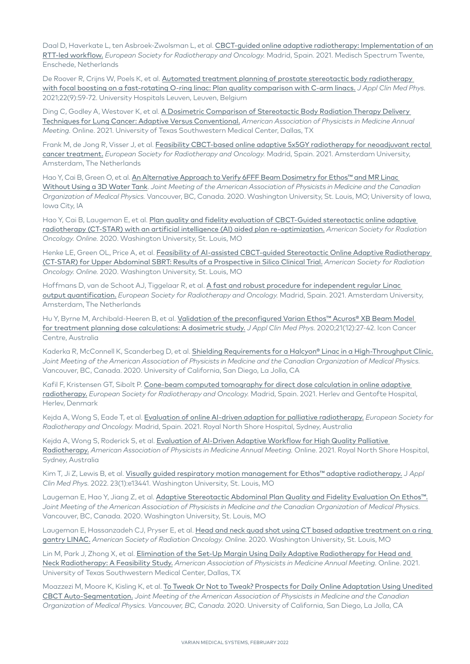Daal D, Haverkate L, ten Asbroek-Zwolsman L, et al. CBCT-guided online adaptive radiotherapy: Implementation of an [RTT-led workflow.](https://www.estro.org/Congresses/ESTRO-2021/612/posterdiscussion36-image-guidedradiotherapy/3719/CBCT-guidedonlineadaptiveradiotherapy-implementati) *European Society for Radiotherapy and Oncology.* Madrid, Spain. 2021. Medisch Spectrum Twente, Enschede, Netherlands

De Roover R, Crijns W, Poels K, et al. [Automated treatment planning of prostate stereotactic body radiotherapy](https://pubmed.ncbi.nlm.nih.gov/34318996)  [with focal boosting on a fast-rotating O-ring linac: Plan quality comparison with C-arm linacs.](https://pubmed.ncbi.nlm.nih.gov/34318996) *J Appl Clin Med Phys.* 2021;22(9):59-72. University Hospitals Leuven, Leuven, Belgium

Ding C, Godley A, Westover K, et al. A Dosimetric Comparison of Stereotactic Body Radiation Therapy Delivery [Techniques for Lung Cancer: Adaptive Versus Conventional.](https://w4.aapm.org/meetings/2021AM/programInfo/programAbs.php?sid=9374&aid=58007) *American Association of Physicists in Medicine Annual Meeting.* Online. 2021. University of Texas Southwestern Medical Center, Dallas, TX

Frank M, de Jong R, Visser J, et al. Feasibility CBCT-based online adaptive 5x5GY radiotherapy for neoadjuvant rectal [cancer treatment.](https://www.estro.org/Congresses/ESTRO-2021/615/profferedpapers35-adaptiveradiotherapy/3827/feasibilityCBCT-basedonlineadaptive5x5gyradiothera) *European Society for Radiotherapy and Oncology.* Madrid, Spain. 2021. Amsterdam University, Amsterdam, The Netherlands

Hao Y, Cai B, Green O, et al. An Alternative Approach to Verify 6FFF Beam Dosimetry for Ethos™ and MR Linac [Without Using a 3D Water Tank](https://w3.aapm.org/meetings/2020AM/programInfo/programAbs.php?sid=8491&aid=51593). *Joint Meeting of the American Association of Physicists in Medicine and the Canadian Organization of Medical Physics.* Vancouver, BC, Canada. 2020. Washington University, St. Louis, MO; University of Iowa, Iowa City, IA

Hao Y, Cai B, Laugeman E, et al. Plan quality and fidelity evaluation of CBCT-Guided stereotactic online adaptive [radiotherapy \(CT-STAR\) with an artificial intelligence \(AI\) aided plan re-optimization.](https://plan.core-apps.com/myastroapp2020/abstract/918fec0c-403d-47ab-b795-ba198b3f9bef) *American Society for Radiation Oncology. Online.* 2020. Washington University, St. Louis, MO

Henke LE, Green OL, Price A, et al. Feasibility of AI-assisted CBCT-guided Stereotactic Online Adaptive Radiotherapy [\(CT-STAR\) for Upper Abdominal SBRT: Results of a Prospective in Silico Clinical Trial.](https://plan.core-apps.com/myastroapp2020/abstract/e0716d9d-6ee2-4467-8c9f-ceb1b24eeaa0) *American Society for Radiation Oncology. Online.* 2020. Washington University, St. Louis, MO

Hoffmans D, van de Schoot AJ, Tiggelaar R, et al. [A fast and robust procedure for independent regular Linac](https://www.estro.org/Congresses/ESTRO-2021/900/basicdosimetryandphantomanddeteCTordevelopment/4476/afastandrobustprocedureforindependentregularlinaco)  [output quantification.](https://www.estro.org/Congresses/ESTRO-2021/900/basicdosimetryandphantomanddeteCTordevelopment/4476/afastandrobustprocedureforindependentregularlinaco) *European Society for Radiotherapy and Oncology.* Madrid, Spain. 2021. Amsterdam University, Amsterdam, The Netherlands

Hu Y, Byrne M, Archibald-Heeren B, et al. [Validation of the preconfigured Varian Ethos™ Acuros® XB Beam Model](https://pubmed.ncbi.nlm.nih.gov/33068070)  [for treatment planning dose calculations: A dosimetric study.](https://pubmed.ncbi.nlm.nih.gov/33068070) *J Appl Clin Med Phys.* 2020;21(12):27-42. Icon Cancer Centre, Australia

Kaderka R, McConnell K, Scanderbeg D, et al. [Shielding Requirements for a Halcyon® Linac in a High-Throughput Clinic.](https://w3.aapm.org/meetings/2020AM/programInfo/programAbs.php?sid=8795&aid=52226) *Joint Meeting of the American Association of Physicists in Medicine and the Canadian Organization of Medical Physics.*  Vancouver, BC, Canada. 2020. University of California, San Diego, La Jolla, CA

Kafil F, Kristensen GT, Sibolt P. [Cone-beam computed tomography for direct dose calculation in online adaptive](https://www.estro.org/Congresses/ESTRO-2021/899/adaptiveradiotherapyandinter-fraCTionmotionmanagem/4499/cone-beamcomputedtomographyfordireCTdosecalculatio)  [radiotherapy.](https://www.estro.org/Congresses/ESTRO-2021/899/adaptiveradiotherapyandinter-fraCTionmotionmanagem/4499/cone-beamcomputedtomographyfordireCTdosecalculatio) *European Society for Radiotherapy and Oncology.* Madrid, Spain. 2021. Herlev and Gentofte Hospital, Herlev, Denmark

Kejda A, Wong S, Eade T, et al. [Evaluation of online AI-driven adaption for palliative radiotherapy.](https://www.estro.org/Congresses/ESTRO-2021/899/adaptiveradiotherapyandinter-fraCTionmotionmanagem/4513/evaluationofonlineAI-drivenadaptionforpalliativera) *European Society for Radiotherapy and Oncology.* Madrid, Spain. 2021. Royal North Shore Hospital, Sydney, Australia

Kejda A, Wong S, Roderick S, et al. Evaluation of AI-Driven Adaptive Workflow for High Quality Palliative [Radiotherapy.](https://w4.aapm.org/meetings/2021AM/programInfo/programAbs.php?sid=9374&aid=58791) *American Association of Physicists in Medicine Annual Meeting.* Online. 2021. Royal North Shore Hospital, Sydney, Australia

Kim T, Ji Z, Lewis B, et al. [Visually guided respiratory motion management for Ethos™ adaptive radiotherapy.](https://pubmed.ncbi.nlm.nih.gov/34697865/) J *Appl Clin Med Phys.* 2022. 23(1):e13441. Washington University, St. Louis, MO

Laugeman E, Hao Y, Jiang Z, et al. [Adaptive Stereotactic Abdominal Plan Quality and Fidelity Evaluation On Ethos™.](https://w3.aapm.org/meetings/2020AM/programInfo/programAbs.php?sid=8795&aid=51581) *Joint Meeting of the American Association of Physicists in Medicine and the Canadian Organization of Medical Physics.*  Vancouver, BC, Canada. 2020. Washington University, St. Louis, MO

Laugeman E, Hassanzadeh CJ, Pryser E, et al. Head and neck quad shot using CT based adaptive treatment on a ring [gantry LINAC.](https://plan.core-apps.com/myastroapp2020/abstract/0239e8e9-3b90-48cb-82c8-d2358d955d8b) *American Society of Radiation Oncology. Online.* 2020. Washington University, St. Louis, MO

Lin M, Park J, Zhong X, et al. Elimination of the Set-Up Margin Using Daily Adaptive Radiotherapy for Head and [Neck Radiotherapy: A Feasibility Study.](https://w4.aapm.org/meetings/2021AM/programInfo/programAbs.php?sid=9297&aid=58828) *American Association of Physicists in Medicine Annual Meeting.* Online. 2021. University of Texas Southwestern Medical Center, Dallas, TX

Moazzezi M, Moore K, Kisling K, et al. [To Tweak Or Not to Tweak? Prospects for Daily Online Adaptation Using Unedited](https://w3.aapm.org/meetings/2020AM/programInfo/programAbs.php?sid=8490&aid=53308)  [CBCT Auto-Segmentation.](https://w3.aapm.org/meetings/2020AM/programInfo/programAbs.php?sid=8490&aid=53308) *Joint Meeting of the American Association of Physicists in Medicine and the Canadian Organization of Medical Physics. Vancouver, BC, Canada.* 2020. University of California, San Diego, La Jolla, CA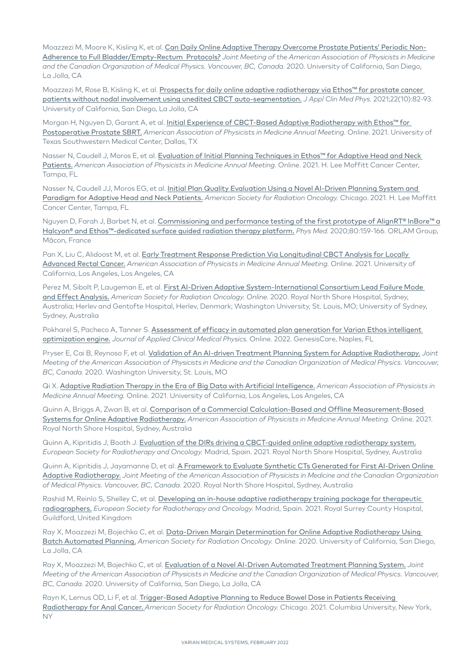Moazzezi M, Moore K, Kisling K, et al. [Can Daily Online Adaptive Therapy Overcome Prostate Patients' Periodic Non-](https://w3.aapm.org/meetings/2020AM/programInfo/programAbs.php?&shid%5b%5d=1566&sid=8797&aid=53356)[Adherence to Full Bladder/Empty-Rectum Protocols?](https://w3.aapm.org/meetings/2020AM/programInfo/programAbs.php?&shid%5b%5d=1566&sid=8797&aid=53356) *Joint Meeting of the American Association of Physicists in Medicine and the Canadian Organization of Medical Physics. Vancouver, BC, Canada.* 2020. University of California, San Diego, La Jolla, CA

Moazzezi M, Rose B, Kisling K, et al. Prospects for daily online adaptive radiotherapy via Ethos™ for prostate cancer [patients without nodal involvement using unedited CBCT auto-segmentation.](https://pubmed.ncbi.nlm.nih.gov/34432932) *J Appl Clin Med Phys.* 2021;22(10):82-93. University of California, San Diego, La Jolla, CA

Morgan H, Nguyen D, Garant A, et al. *Initial Experience of CBCT-Based Adaptive Radiotherapy with Ethos™ for* [Postoperative Prostate SBRT.](https://w4.aapm.org/meetings/2021AM/programInfo/programAbs.php?sid=9297&aid=58730) *American Association of Physicists in Medicine Annual Meeting.* Online. 2021. University of Texas Southwestern Medical Center, Dallas, TX

Nasser N, Caudell J, Moros E, et al. [Evaluation of Initial Planning Techniques in Ethos™ for Adaptive Head and Neck](https://w4.aapm.org/meetings/2021AM/programInfo/programAbs.php?sid=9375&aid=57073)  [Patients.](https://w4.aapm.org/meetings/2021AM/programInfo/programAbs.php?sid=9375&aid=57073) *American Association of Physicists in Medicine Annual Meeting.* Online. 2021. H. Lee Moffitt Cancer Center, Tampa, FL

Nasser N, Caudell JJ, Moros EG, et al. [Initial Plan Quality Evaluation Using a Novel AI-Driven Planning System and](https://plan.core-apps.com/myastroapp2021/abstraCT/4b195522-dad0-40a4-aa9e-b2c7dbbfd3a0)  [Paradigm for Adaptive Head and Neck Patients.](https://plan.core-apps.com/myastroapp2021/abstraCT/4b195522-dad0-40a4-aa9e-b2c7dbbfd3a0) *American Society for Radiation Oncology.* Chicago. 2021. H. Lee Moffitt Cancer Center, Tampa, FL

Nguyen D, Farah J, Barbet N, et al. Commissioning and performance testing of the first prototype of AlignRT® InBore™ a [Halcyon® and Ethos™-dedicated surface guided radiation therapy platform.](https://pubmed.ncbi.nlm.nih.gov/33189046) *Phys Med.* 2020;80:159-166. ORLAM Group, Mâcon, France

Pan X, Liu C, Alidoost M, et al. Early Treatment Response Prediction Via Longitudinal CBCT Analysis for Locally [Advanced Rectal Cancer.](https://w4.aapm.org/meetings/2021AM/programInfo/programAbs.php?sid=9374&aid=58326) *American Association of Physicists in Medicine Annual Meeting.* Online. 2021. University of California, Los Angeles, Los Angeles, CA

Perez M, Sibolt P, Laugeman E, et al. [First AI-Driven Adaptive System-International Consortium Lead Failure Mode](https://plan.core-apps.com/myastroapp2020/abstract/415714f8-6cb9-45a3-8fab-f12dfc38665d)  [and Effect Analysis.](https://plan.core-apps.com/myastroapp2020/abstract/415714f8-6cb9-45a3-8fab-f12dfc38665d) *American Society for Radiation Oncology. Online.* 2020. Royal North Shore Hospital, Sydney, Australia; Herlev and Gentofte Hospital, Herlev, Denmark; Washington University, St. Louis, MO; University of Sydney, Sydney, Australia

Pokharel S, Pacheco A, Tanner S. Assessment of efficacy in automated plan generation for Varian Ethos intelligent [optimization engine.](https://pubmed.ncbi.nlm.nih.gov/35084090) *Journal of Applied Clinical Medical Physics.* Online. 2022. GenesisCare, Naples, FL

Pryser E, Cai B, Reynoso F, et al. [Validation of An AI-driven Treatment Planning System for Adaptive Radiotherapy.](https://w3.aapm.org/meetings/2020AM/programInfo/programAbs.php?sid=8490&aid=53029) *Joint Meeting of the American Association of Physicists in Medicine and the Canadian Organization of Medical Physics. Vancouver, BC, Canada.* 2020. Washington University, St. Louis, MO

Qi X. [Adaptive Radiation Therapy in the Era of Big Data with Artificial Intelligence.](https://w4.aapm.org/meetings/2021AM/programInfo/programAbs.php?sid=9048&aid=57688) *American Association of Physicists in Medicine Annual Meeting.* Online. 2021. University of California, Los Angeles, Los Angeles, CA

Quinn A, Briggs A, Zwan B, et al. [Comparison of a Commercial Calculation-Based and Offline Measurement-Based](https://w4.aapm.org/meetings/2021AM/programInfo/programAbs.php?sid=9374&aid=58528)  [Systems for Online Adaptive Radiotherapy.](https://w4.aapm.org/meetings/2021AM/programInfo/programAbs.php?sid=9374&aid=58528) *American Association of Physicists in Medicine Annual Meeting.* Online. 2021. Royal North Shore Hospital, Sydney, Australia

Quinn A, Kipritidis J, Booth J. [Evaluation of the DIRs driving a CBCT-guided online adaptive radiotherapy system.](https://www.estro.org/Congresses/ESTRO-2021/899/adaptiveradiotherapyandinter-fraCTionmotionmanagem/4514/evaluationofthedirsdrivingaCBCT-guidedonlineadapti) *European Society for Radiotherapy and Oncology.* Madrid, Spain. 2021. Royal North Shore Hospital, Sydney, Australia

Quinn A, Kipritidis J, Jayamanne D, et al. [A Framework to Evaluate Synthetic CTs Generated for First AI-Driven Online](https://w3.aapm.org/meetings/2020AM/programInfo/programAbs.php?sid=8490&aid=53517)  [Adaptive Radiotherapy.](https://w3.aapm.org/meetings/2020AM/programInfo/programAbs.php?sid=8490&aid=53517) *Joint Meeting of the American Association of Physicists in Medicine and the Canadian Organization of Medical Physics. Vancouver, BC, Canada.* 2020. Royal North Shore Hospital, Sydney, Australia

Rashid M, Reinlo S, Shelley C, et al. [Developing an in-house adaptive radiotherapy training package for therapeutic](https://www.estro.org/Congresses/ESTRO-2021/926/educationandtrAIning-roledevelopment/4039/developinganin-houseadaptiveradiotherapytrAIningpa)  [radiographers.](https://www.estro.org/Congresses/ESTRO-2021/926/educationandtrAIning-roledevelopment/4039/developinganin-houseadaptiveradiotherapytrAIningpa) *European Society for Radiotherapy and Oncology.* Madrid, Spain. 2021. Royal Surrey County Hospital, Guildford, United Kingdom

Ray X, Moazzezi M, Bojechko C, et al. [Data-Driven Margin Determination for Online Adaptive Radiotherapy Using](https://plan.core-apps.com/myastroapp2020/abstract/9dfe2441-f910-45b9-9b41-198a41915722)  [Batch Automated Planning.](https://plan.core-apps.com/myastroapp2020/abstract/9dfe2441-f910-45b9-9b41-198a41915722) *American Society for Radiation Oncology. Online.* 2020. University of California, San Diego, La Jolla, CA

Ray X, Moazzezi M, Bojechko C, et al. [Evaluation of a Novel AI-Driven Automated Treatment Planning System.](https://w3.aapm.org/meetings/2020AM/programInfo/programAbs.php?sid=8491&aid=53403) *Joint Meeting of the American Association of Physicists in Medicine and the Canadian Organization of Medical Physics. Vancouver, BC, Canada.* 2020. University of California, San Diego, La Jolla, CA

Rayn K, Lemus OD, Li F, et al. [Trigger-Based Adaptive Planning to Reduce Bowel Dose in Patients Receiving](https://plan.core-apps.com/myastroapp2021/abstract/33baf102-6ef6-41dd-8edf-6b41eed9a307)  Radiotherapy for Anal Cancer. *[American Society for Radiation Oncology.](https://plan.core-apps.com/myastroapp2021/abstract/33baf102-6ef6-41dd-8edf-6b41eed9a307)* Chicago. 2021. Columbia University, New York, NY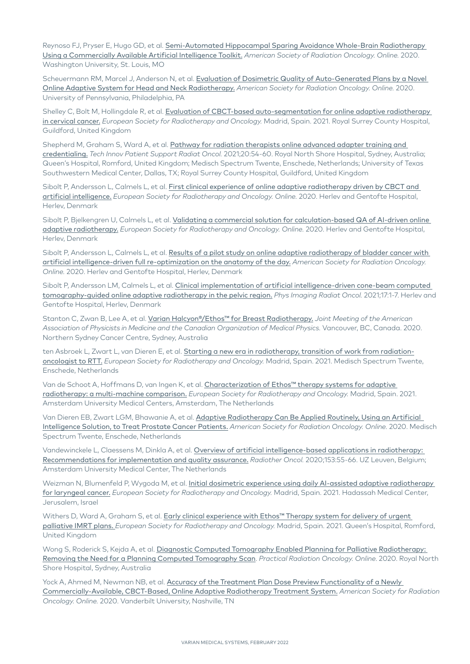Reynoso FJ, Pryser E, Hugo GD, et al. Semi-Automated Hippocampal Sparing Avoidance Whole-Brain Radiotherapy [Using a Commercially Available Artificial Intelligence Toolkit.](https://plan.core-apps.com/myastroapp2020/abstract/da6cbdfa-217e-4c5a-ab3c-be6d27c37a34) *American Society of Radiation Oncology. Online.* 2020. Washington University, St. Louis, MO

Scheuermann RM, Marcel J, Anderson N, et al. [Evaluation of Dosimetric Quality of Auto-Generated Plans by a Novel](https://plan.core-apps.com/myastroapp2020/abstract/88de3972-1ab0-4634-96a0-c57d063c7026)  [Online Adaptive System for Head and Neck Radiotherapy.](https://plan.core-apps.com/myastroapp2020/abstract/88de3972-1ab0-4634-96a0-c57d063c7026) *American Society for Radiation Oncology. Online.* 2020. University of Pennsylvania, Philadelphia, PA

Shelley C, Bolt M, Hollingdale R, et al. Evaluation of CBCT-based auto-segmentation for online adaptive radiotherapy [in cervical cancer.](https://www.estro.org/Congresses/ESTRO-2021/888/gynaecological-endometrium-cervix-vagina-vulva-/4772/evaluationofCBCT-basedauto-segmentationforonlinead) *European Society for Radiotherapy and Oncology.* Madrid, Spain. 2021. Royal Surrey County Hospital, Guildford, United Kingdom

Shepherd M, Graham S, Ward A, et al. Pathway for radiation therapists online advanced adapter training and [credentialing.](https://pubmed.ncbi.nlm.nih.gov/34917781) *Tech Innov Patient Support Radiat Oncol.* 2021;20:54-60. Royal North Shore Hospital, Sydney, Australia; Queen's Hospital, Romford, United Kingdom; Medisch Spectrum Twente, Enschede, Netherlands; University of Texas Southwestern Medical Center, Dallas, TX; Royal Surrey County Hospital, Guildford, United Kingdom

Sibolt P, Andersson L, Calmels L, et al. [First clinical experience of online adaptive radiotherapy driven by CBCT and](https://estropreprod.smartmembership.net/Congresses/ESTRO-2020/170/ph-adaptiveradiotherapyandinter-fractionmotionmana/1154/firstclinicalexperienceofonlineadaptiveradiotherap)  [artificial intelligence.](https://estropreprod.smartmembership.net/Congresses/ESTRO-2020/170/ph-adaptiveradiotherapyandinter-fractionmotionmana/1154/firstclinicalexperienceofonlineadaptiveradiotherap) *European Society for Radiotherapy and Oncology. Online.* 2020. Herlev and Gentofte Hospital, Herlev, Denmark

Sibolt P, Bjelkengren U, Calmels L, et al. Validating a commercial solution for calculation-based QA of AI-driven online [adaptive radiotherapy.](https://estropreprod.smartmembership.net/Congresses/ESTRO-2020/269/physicstrack-dosemeasurementanddosecalculation/1161/validatingacommercialsolutionforcalculation-basedq) *European Society for Radiotherapy and Oncology. Online.* 2020. Herlev and Gentofte Hospital, Herlev, Denmark

Sibolt P, Andersson L, Calmels L, et al. [Results of a pilot study on online adaptive radiotherapy of bladder cancer with](https://plan.core-apps.com/myastroapp2020/abstract/f13623d1-c770-4082-9a39-43a6f1d20ba4)  [artificial intelligence-driven full re-optimization on the anatomy of the day.](https://plan.core-apps.com/myastroapp2020/abstract/f13623d1-c770-4082-9a39-43a6f1d20ba4) *American Society for Radiation Oncology. Online.* 2020. Herlev and Gentofte Hospital, Herlev, Denmark

Sibolt P, Andersson LM, Calmels L, et al. Clinical implementation of artificial intelligence-driven cone-beam computed [tomography-guided online adaptive radiotherapy in the pelvic region.](https://pubmed.ncbi.nlm.nih.gov/33898770) *Phys Imaging Radiat Oncol.* 2021;17:1-7. Herlev and Gentofte Hospital, Herlev, Denmark

Stanton C, Zwan B, Lee A, et al. [Varian Halcyon®/Ethos™ for Breast Radiotherapy.](https://w3.aapm.org/meetings/2020AM/programInfo/programAbs.php?sid=8491&aid=52615) *Joint Meeting of the American Association of Physicists in Medicine and the Canadian Organization of Medical Physics.* Vancouver, BC, Canada. 2020. Northern Sydney Cancer Centre, Sydney, Australia

ten Asbroek L, Zwart L, van Dieren E, et al. [Starting a new era in radiotherapy, transition of work from radiation](https://www.estro.org/Congresses/ESTRO-2021/518/posterhighlights5-advancedradiotherapyserviceimple/3471/staRTinganewerAInradiotherapy-transitionofworkfrom)[oncologist to RTT.](https://www.estro.org/Congresses/ESTRO-2021/518/posterhighlights5-advancedradiotherapyserviceimple/3471/staRTinganewerAInradiotherapy-transitionofworkfrom) *European Society for Radiotherapy and Oncology.* Madrid, Spain. 2021. Medisch Spectrum Twente, Enschede, Netherlands

Van de Schoot A, Hoffmans D, van Ingen K, et al. [Characterization of Ethos™ therapy systems for adaptive](https://www.estro.org/Congresses/ESTRO-2021/901/dosemeasurementanddosecalculation/4427/charaCTerizationofEthostherapysystemsforadaptivera)  [radiotherapy: a multi-machine comparison.](https://www.estro.org/Congresses/ESTRO-2021/901/dosemeasurementanddosecalculation/4427/charaCTerizationofEthostherapysystemsforadaptivera) *European Society for Radiotherapy and Oncology.* Madrid, Spain. 2021. Amsterdam University Medical Centers, Amsterdam, The Netherlands

Van Dieren EB, Zwart LGM, Bhawanie A, et al. Adaptive Radiotherapy Can Be Applied Routinely, Using an Artificial [Intelligence Solution, to Treat Prostate Cancer Patients.](https://plan.core-apps.com/myastroapp2020/abstract/ae1208ea-f165-45a2-8cff-d7a4b21c7799) *American Society for Radiation Oncology. Online.* 2020. Medisch Spectrum Twente, Enschede, Netherlands

Vandewinckele L, Claessens M, Dinkla A, et al. [Overview of artificial intelligence-based applications in radiotherapy:](https://pubmed.ncbi.nlm.nih.gov/32920005)  [Recommendations for implementation and quality assurance.](https://pubmed.ncbi.nlm.nih.gov/32920005) *Radiother Oncol.* 2020;153:55-66. UZ Leuven, Belgium; Amsterdam University Medical Center, The Netherlands

Weizman N, Blumenfeld P, Wygoda M, et al. Initial dosimetric experience using daily AI-assisted adaptive radiotherapy [for laryngeal cancer.](https://www.estro.org/Congresses/ESTRO-2021/899/adaptiveradiotherapyandinter-fraCTionmotionmanagem/4515/initialdosimetricexperienceusingdAIlyAI-assistedad) *European Society for Radiotherapy and Oncology.* Madrid, Spain. 2021. Hadassah Medical Center, Jerusalem, Israel

Withers D, Ward A, Graham S, et al. Early clinical experience with Ethos™ Therapy system for delivery of urgent palliative IMRT plans. *[European Society for Radiotherapy and Oncology.](https://www.estro.org/Congresses/ESTRO-2021/903/implementationofnewtechnology-techniques-clinicalp/4314/earlyclinicalexperiencewithEthostherapysystemforde)* Madrid, Spain. 2021. Queen's Hospital, Romford, United Kingdom

Wong S, Roderick S, Kejda A, et al. Diagnostic Computed Tomography Enabled Planning for Palliative Radiotherapy: [Removing the Need for a Planning C](https://www.practicalradonc.org/article/S1879-8500(20)30264-2/fulltext)omputed Tomography Scan. *Practical Radiation Oncology. Online*. 2020. Royal North Shore Hospital, Sydney, Australia

Yock A, Ahmed M, Newman NB, et al. Accuracy of the Treatment Plan Dose Preview Functionality of a Newly [Commercially-Available, CBCT-Based, Online Adaptive Radiotherapy Treatment System.](https://plan.core-apps.com/myastroapp2020/abstract/6d5c9d2c-2c1c-484b-8cf7-22b576550b2f) *American Society for Radiation Oncology. Online.* 2020. Vanderbilt University, Nashville, TN